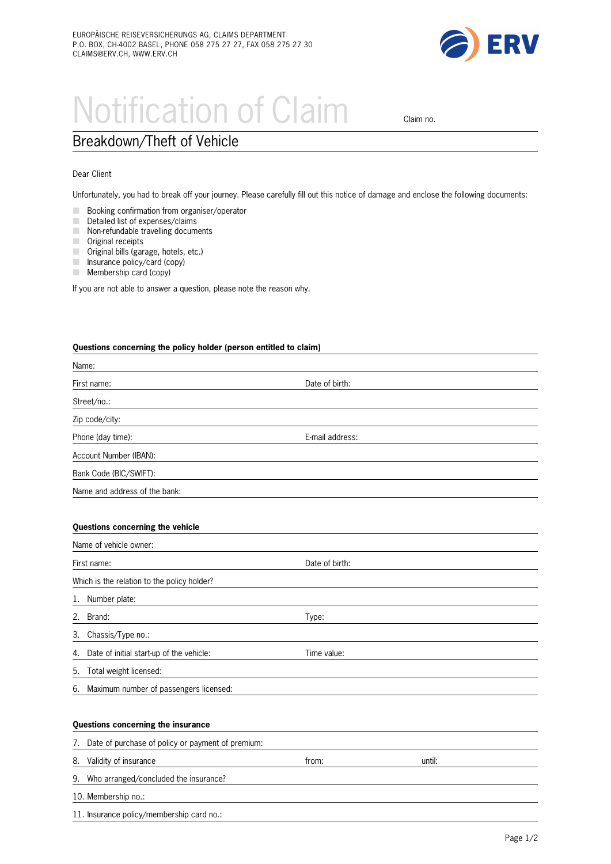

# Notification of Claim claim no.

## Breakdown/Theft of Vehicle

Dear Client

Unfortunately, you had to break off your journey. Please carefully fill out this notice of damage and enclose the following documents:

- **M** Booking confirmation from organiser/operator
- $\Box$  Detailed list of expenses/claims
- $\blacksquare$  Non-refundable travelling documents
- $\mathcal{L}$ Original receipts
- **M** Original bills (garage, hotels, etc.)
- $\Box$  Insurance policy/card (copy)
- $\blacksquare$  Membership card (copy)

If you are not able to answer a question, please note the reason why.

#### **Questions concerning the policy holder (person entitled to claim)**

| Name:                         |                 |  |
|-------------------------------|-----------------|--|
| First name:                   | Date of birth:  |  |
| Street/no.:                   |                 |  |
| Zip code/city:                |                 |  |
| Phone (day time):             | E-mail address: |  |
| Account Number (IBAN):        |                 |  |
| Bank Code (BIC/SWIFT):        |                 |  |
| Name and address of the bank: |                 |  |

#### **Questions concerning the vehicle**

| Name of vehicle owner:                      |                |  |  |  |
|---------------------------------------------|----------------|--|--|--|
| First name:                                 | Date of birth: |  |  |  |
| Which is the relation to the policy holder? |                |  |  |  |
| Number plate:                               |                |  |  |  |
| Brand:                                      | Type:          |  |  |  |
| Chassis/Type no.:                           |                |  |  |  |
| 4. Date of initial start-up of the vehicle: | Time value:    |  |  |  |
| Total weight licensed:                      |                |  |  |  |
| 6. Maximum number of passengers licensed:   |                |  |  |  |
|                                             |                |  |  |  |
|                                             |                |  |  |  |

### **Questions concerning the insurance**

11. Insurance policy/membership card no.:

| 7. | Date of purchase of policy or payment of premium: |       |        |  |  |  |
|----|---------------------------------------------------|-------|--------|--|--|--|
|    | 8. Validity of insurance                          | trom: | until: |  |  |  |
|    | 9. Who arranged/concluded the insurance?          |       |        |  |  |  |
|    | 10. Membership no.:                               |       |        |  |  |  |
|    |                                                   |       |        |  |  |  |